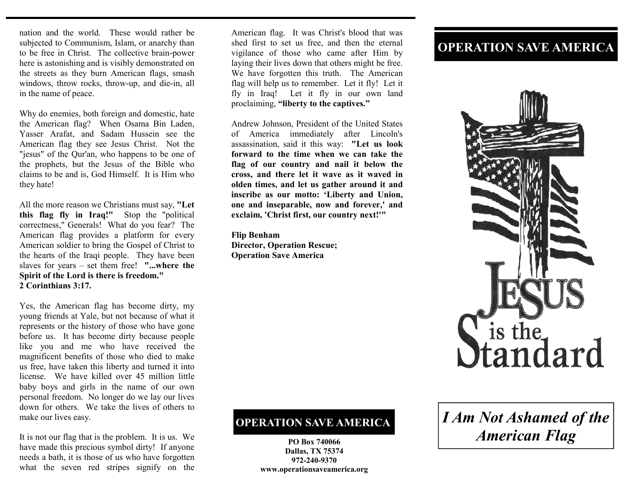nation and the world. These would rather be subjected to Communism, Islam, or anarchy than to be free in Christ. The collective brain-power here is astonishing and is visibly demonstrated on the streets as they burn American flags, smash windows, throw rocks, throw-up, and die-in, all in the name of peace.

Why do enemies, both foreign and domestic, hate the American flag? When Osama Bin Laden, Yasser Arafat, and Sadam Hussein see the American flag they see Jesus Christ. Not the "jesus" of the Qur'an, who happens to be one of the prophets, but the Jesus of the Bible who claims to be and is, God Himself. It is Him who they hate!

All the more reason we Christians must say, **"Let this flag fly in Iraq!"** Stop the "political correctness," Generals! What do you fear? The American flag provides a platform for every American soldier to bring the Gospel of Christ to the hearts of the Iraqi people. They have been slaves for years – set them free! **"...where the Spirit of the Lord is there is freedom." 2 Corinthians 3:17.** 

Yes, the American flag has become dirty, my young friends at Yale, but not because of what it represents or the history of those who have gone before us. It has become dirty because people like you and me who have received the magnificent benefits of those who died to make us free, have taken this liberty and turned it into license. We have killed over 45 million little baby boys and girls in the name of our own personal freedom. No longer do we lay our lives down for others. We take the lives of others to make our lives easy.

It is not our flag that is the problem. It is us. We have made this precious symbol dirty! If anyone needs a bath, it is those of us who have forgotten what the seven red stripes signify on the

American flag. It was Christ's blood that was shed first to set us free, and then the eternal vigilance of those who came after Him by laying their lives down that others might be free. We have forgotten this truth. The American flag will help us to remember. Let it fly! Let it fly in Iraq! Let it fly in our own land proclaiming, **"liberty to the captives."** 

Andrew Johnson, President of the United States of America immediately after Lincoln's assassination, said it this way: **"Let us look forward to the time when we can take the flag of our country and nail it below the cross, and there let it wave as it waved in olden times, and let us gather around it and inscribe as our motto: 'Liberty and Union, one and inseparable, now and forever,' and exclaim, 'Christ first, our country next!'"** 

**Flip Benham Director, Operation Rescue; Operation Save America** 

## **OPERATION SAVE AMERICA**

**PO Box 740066 Dallas, TX 75374 972-240-9370 www.operationsaveamerica.org** 

## **OPERATION SAVE AMERICA**



## *I Am Not Ashamed of the American Flag*